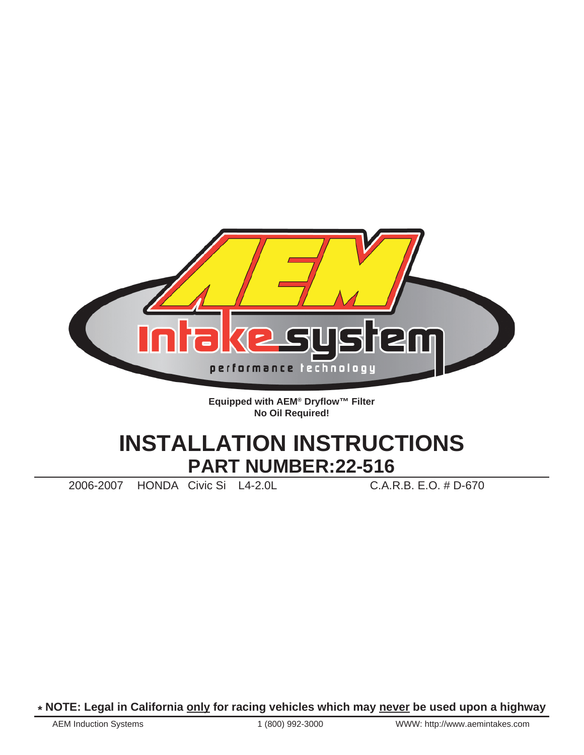

**Equipped with AEM® Dryflow™ Filter No Oil Required!**

# **INSTALLATION INSTRUCTIONS PART NUMBER:22-516**

2006-2007 HONDA Civic Si L4-2.0L C.A.R.B. E.O. # D-670

**\* NOTE: Legal in California only for racing vehicles which may never be used upon a highway**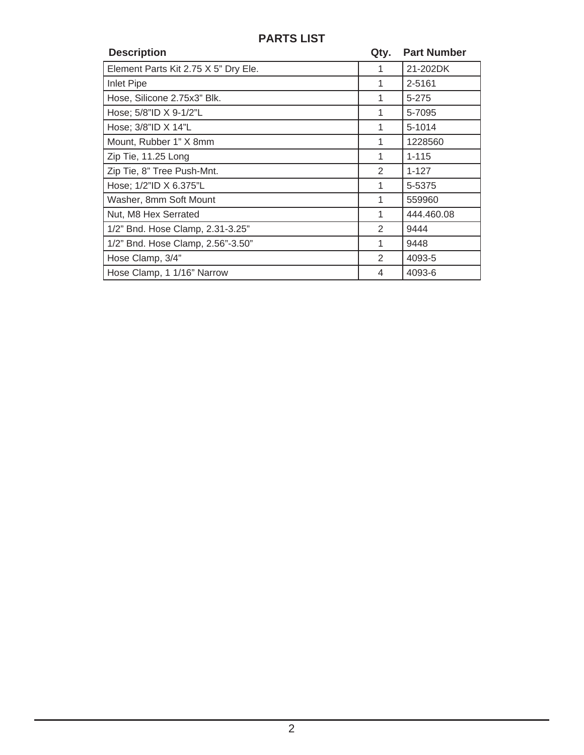## **PARTS LIST**

| <b>Description</b>                   | Qty. | <b>Part Number</b> |
|--------------------------------------|------|--------------------|
| Element Parts Kit 2.75 X 5" Dry Ele. |      | 21-202DK           |
| <b>Inlet Pipe</b>                    | 1    | 2-5161             |
| Hose, Silicone 2.75x3" Blk.          | 1    | 5-275              |
| Hose; $5/8$ "ID $X$ 9-1/2"L          | 1    | 5-7095             |
| Hose; 3/8"ID X 14"L                  | 1    | 5-1014             |
| Mount, Rubber 1" X 8mm               | 1    | 1228560            |
| Zip Tie, 11.25 Long                  | 1    | $1 - 115$          |
| Zip Tie, 8" Tree Push-Mnt.           | 2    | $1 - 127$          |
| Hose; 1/2"ID X 6.375"L               | 1    | 5-5375             |
| Washer, 8mm Soft Mount               | 1    | 559960             |
| Nut, M8 Hex Serrated                 | 1    | 444.460.08         |
| 1/2" Bnd. Hose Clamp, 2.31-3.25"     | 2    | 9444               |
| 1/2" Bnd. Hose Clamp, 2.56"-3.50"    | 1    | 9448               |
| Hose Clamp, 3/4"                     | 2    | 4093-5             |
| Hose Clamp, 1 1/16" Narrow           | 4    | 4093-6             |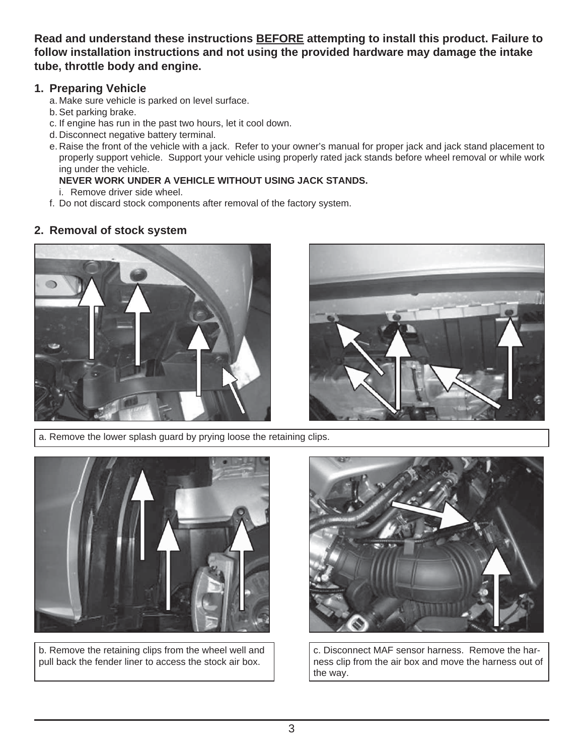**Read and understand these instructions BEFORE attempting to install this product. Failure to follow installation instructions and not using the provided hardware may damage the intake tube, throttle body and engine.**

### **1. Preparing Vehicle**

- a. Make sure vehicle is parked on level surface.
- b. Set parking brake.
- c. If engine has run in the past two hours, let it cool down.
- d. Disconnect negative battery terminal.
- e. Raise the front of the vehicle with a jack. Refer to your owner's manual for proper jack and jack stand placement to properly support vehicle. Support your vehicle using properly rated jack stands before wheel removal or while work ing under the vehicle.

#### **NEVER WORK UNDER A VEHICLE WITHOUT USING JACK STANDS.**

- i. Remove driver side wheel.
- f. Do not discard stock components after removal of the factory system.

## **2. Removal of stock system**





a. Remove the lower splash guard by prying loose the retaining clips.



b. Remove the retaining clips from the wheel well and pull back the fender liner to access the stock air box.



c. Disconnect MAF sensor harness. Remove the harness clip from the air box and move the harness out of the way.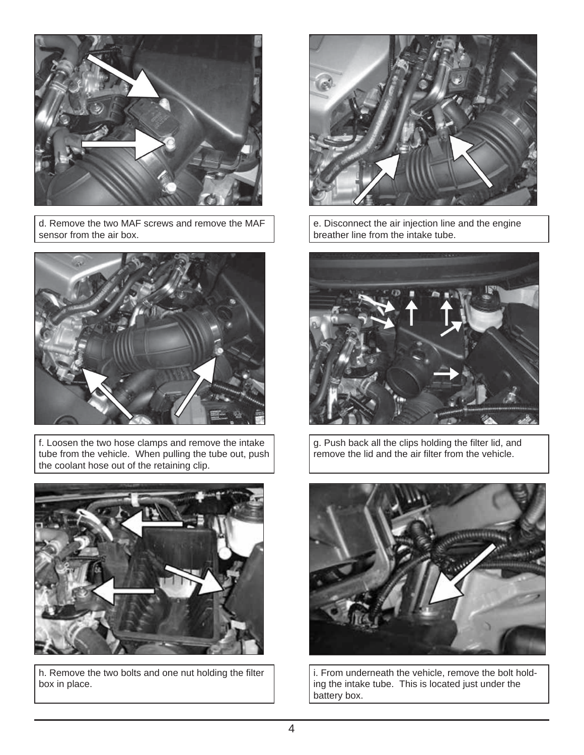

d. Remove the two MAF screws and remove the MAF sensor from the air box.



f. Loosen the two hose clamps and remove the intake tube from the vehicle. When pulling the tube out, push the coolant hose out of the retaining clip.



h. Remove the two bolts and one nut holding the filter box in place.



e. Disconnect the air injection line and the engine breather line from the intake tube.



g. Push back all the clips holding the filter lid, and remove the lid and the air filter from the vehicle.



i. From underneath the vehicle, remove the bolt holding the intake tube. This is located just under the battery box.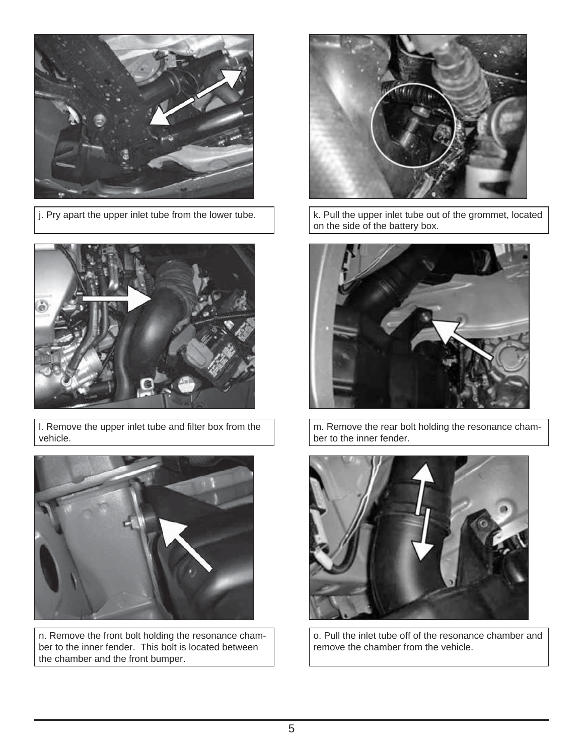



l. Remove the upper inlet tube and filter box from the vehicle.



n. Remove the front bolt holding the resonance chamber to the inner fender. This bolt is located between the chamber and the front bumper.



j. Pry apart the upper inlet tube from the lower tube.  $\vert$  k. Pull the upper inlet tube out of the grommet, located on the side of the battery box.



m. Remove the rear bolt holding the resonance chamber to the inner fender.



o. Pull the inlet tube off of the resonance chamber and remove the chamber from the vehicle.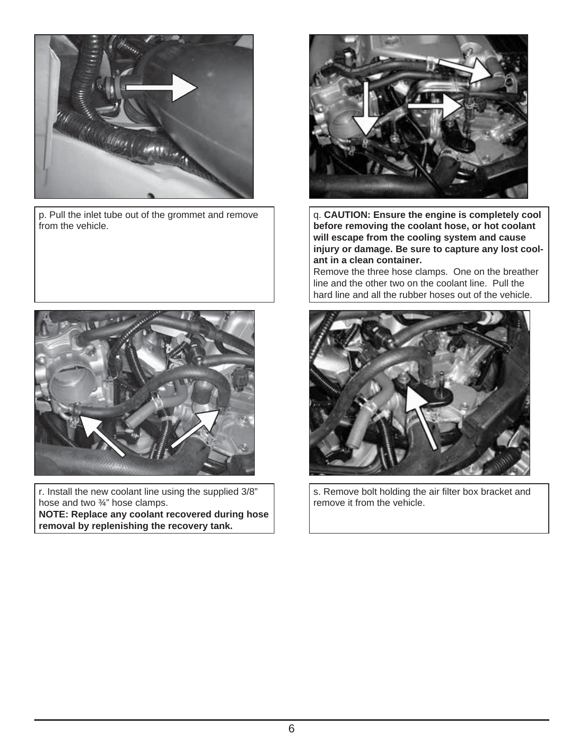

p. Pull the inlet tube out of the grommet and remove from the vehicle.



r. Install the new coolant line using the supplied 3/8" hose and two ¾" hose clamps. **NOTE: Replace any coolant recovered during hose removal by replenishing the recovery tank.**



q. **CAUTION: Ensure the engine is completely cool before removing the coolant hose, or hot coolant will escape from the cooling system and cause injury or damage. Be sure to capture any lost coolant in a clean container.**

Remove the three hose clamps. One on the breather line and the other two on the coolant line. Pull the hard line and all the rubber hoses out of the vehicle.



s. Remove bolt holding the air filter box bracket and remove it from the vehicle.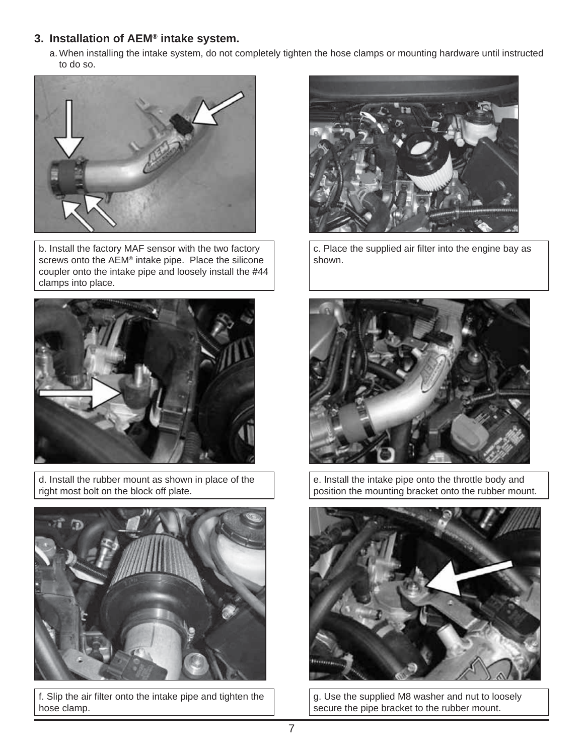## **3. Installation of AEM® intake system.**

a. When installing the intake system, do not completely tighten the hose clamps or mounting hardware until instructed to do so.



b. Install the factory MAF sensor with the two factory screws onto the AEM® intake pipe. Place the silicone coupler onto the intake pipe and loosely install the #44 clamps into place.



d. Install the rubber mount as shown in place of the right most bolt on the block off plate.



f. Slip the air filter onto the intake pipe and tighten the hose clamp.



c. Place the supplied air filter into the engine bay as shown.



e. Install the intake pipe onto the throttle body and position the mounting bracket onto the rubber mount.



g. Use the supplied M8 washer and nut to loosely secure the pipe bracket to the rubber mount.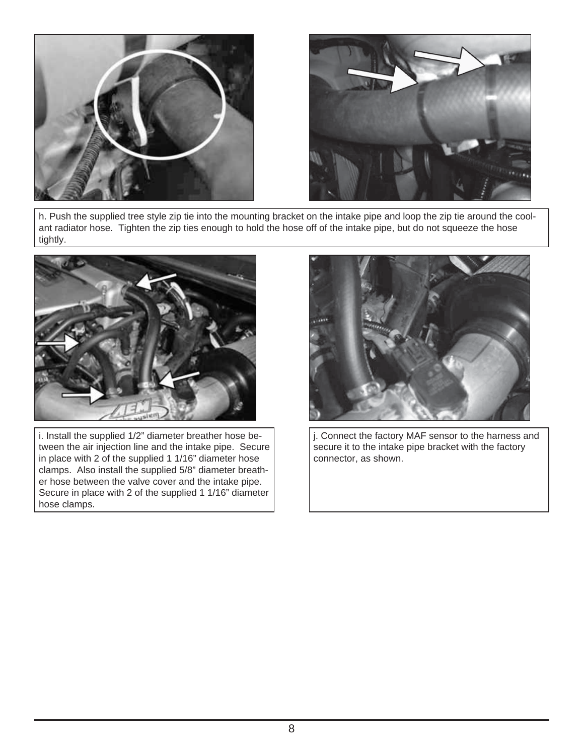



h. Push the supplied tree style zip tie into the mounting bracket on the intake pipe and loop the zip tie around the coolant radiator hose. Tighten the zip ties enough to hold the hose off of the intake pipe, but do not squeeze the hose tightly.



i. Install the supplied 1/2" diameter breather hose between the air injection line and the intake pipe. Secure in place with 2 of the supplied 1 1/16" diameter hose clamps. Also install the supplied 5/8" diameter breather hose between the valve cover and the intake pipe. Secure in place with 2 of the supplied 1 1/16" diameter hose clamps.



j. Connect the factory MAF sensor to the harness and secure it to the intake pipe bracket with the factory connector, as shown.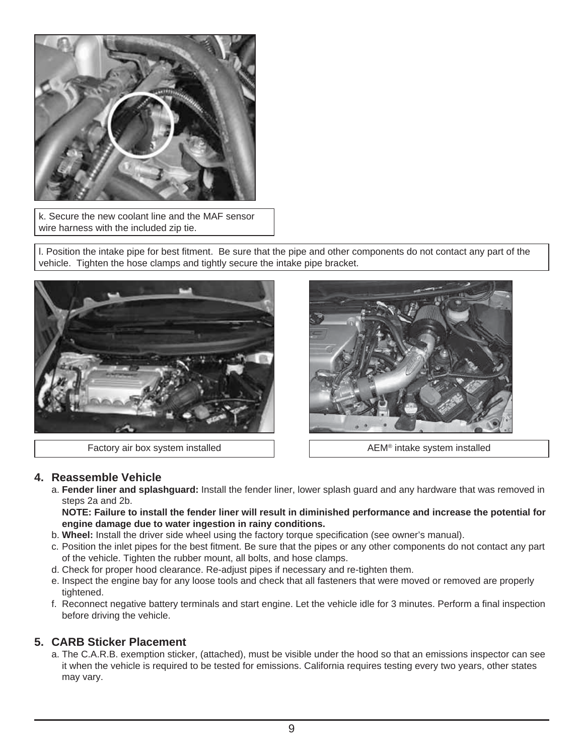

k. Secure the new coolant line and the MAF sensor wire harness with the included zip tie.

l. Position the intake pipe for best fitment. Be sure that the pipe and other components do not contact any part of the vehicle. Tighten the hose clamps and tightly secure the intake pipe bracket.



Factory air box system installed **AEM<sup>®</sup> intake system installed** AEM<sup>®</sup> intake system installed



#### **4. Reassemble Vehicle**

 a. **Fender liner and splashguard:** Install the fender liner, lower splash guard and any hardware that was removed in steps 2a and 2b.

 **NOTE: Failure to install the fender liner will result in diminished performance and increase the potential for engine damage due to water ingestion in rainy conditions.**

- b. **Wheel:** Install the driver side wheel using the factory torque specification (see owner's manual).
- c. Position the inlet pipes for the best fitment. Be sure that the pipes or any other components do not contact any part of the vehicle. Tighten the rubber mount, all bolts, and hose clamps.
- d. Check for proper hood clearance. Re-adjust pipes if necessary and re-tighten them.
- e. Inspect the engine bay for any loose tools and check that all fasteners that were moved or removed are properly tightened.
- f. Reconnect negative battery terminals and start engine. Let the vehicle idle for 3 minutes. Perform a final inspection before driving the vehicle.

#### **5. CARB Sticker Placement**

 a. The C.A.R.B. exemption sticker, (attached), must be visible under the hood so that an emissions inspector can see it when the vehicle is required to be tested for emissions. California requires testing every two years, other states may vary.